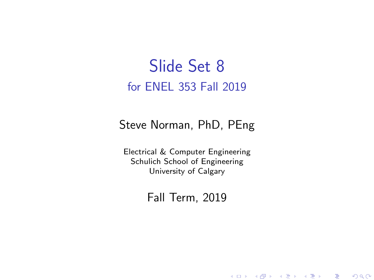## Slide Set 8 for ENEL 353 Fall 2019

### Steve Norman, PhD, PEng

Electrical & Computer Engineering Schulich School of Engineering University of Calgary

### Fall Term, 2019

メロメ メ御メ メ君メ メ君メー

一番

 $2Q$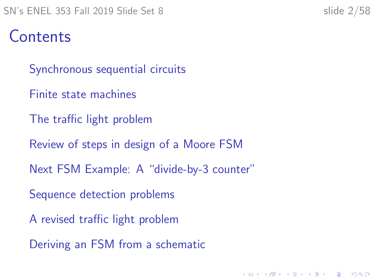# **Contents**

[Synchronous sequential circuits](#page-2-0)

- [Finite state machines](#page-9-0)
- [The traffic light problem](#page-13-0)
- [Review of steps in design of a Moore FSM](#page-27-0)
- [Next FSM Example: A "divide-by-3 counter"](#page-31-0)

- [Sequence detection problems](#page-37-0)
- [A revised traffic light problem](#page-47-0)
- [Deriving an FSM from a schematic](#page-53-0)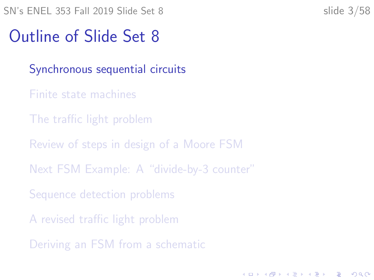# <span id="page-2-0"></span>Outline of Slide Set 8

### [Synchronous sequential circuits](#page-2-0)

- [Finite state machines](#page-9-0)
- [The traffic light problem](#page-13-0)
- [Review of steps in design of a Moore FSM](#page-27-0)
- [Next FSM Example: A "divide-by-3 counter"](#page-31-0)
- [Sequence detection problems](#page-37-0)
- [A revised traffic light problem](#page-47-0)
- [Deriving an FSM from a schematic](#page-53-0)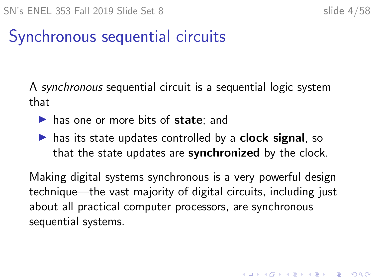# Synchronous sequential circuits

A synchronous sequential circuit is a sequential logic system that

- $\blacktriangleright$  has one or more bits of state; and
- $\blacktriangleright$  has its state updates controlled by a **clock signal**, so that the state updates are **synchronized** by the clock.

Making digital systems synchronous is a very powerful design technique—the vast majority of digital circuits, including just about all practical computer processors, are synchronous sequential systems.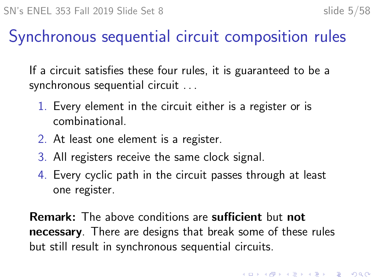# Synchronous sequential circuit composition rules

If a circuit satisfies these four rules, it is guaranteed to be a synchronous sequential circuit . . .

- 1. Every element in the circuit either is a register or is combinational.
- 2. At least one element is a register.
- 3. All registers receive the same clock signal.
- 4. Every cyclic path in the circuit passes through at least one register.

Remark: The above conditions are sufficient but not necessary. There are designs that break some of these rules but still result in synchronous sequential circuits.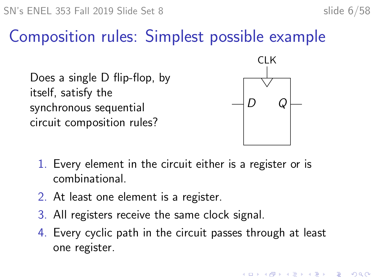# Composition rules: Simplest possible example

Does a single D flip-flop, by itself, satisfy the synchronous sequential circuit composition rules?



**KORKARYKERKER POLO** 

- 1. Every element in the circuit either is a register or is combinational.
- 2. At least one element is a register.
- 3. All registers receive the same clock signal.
- 4. Every cyclic path in the circuit passes through at least one register.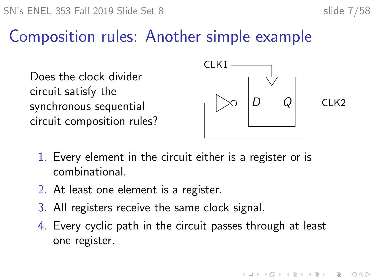# Composition rules: Another simple example

Does the clock divider circuit satisfy the synchronous sequential circuit composition rules?



- 1. Every element in the circuit either is a register or is combinational.
- 2. At least one element is a register.
- 3. All registers receive the same clock signal.
- 4. Every cyclic path in the circuit passes through at least one register.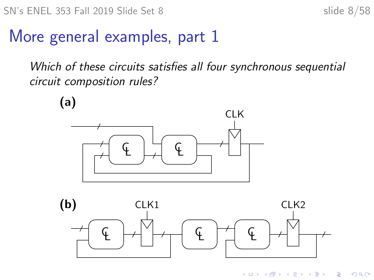# More general examples, part 1

Which of these circuits satisfies all four synchronous sequential circuit composition rules?

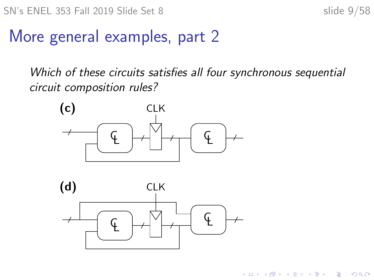$\left\{ \begin{array}{ccc} 1 & 0 & 0 \\ 0 & 1 & 0 \\ 0 & 0 & 0 \\ 0 & 0 & 0 \\ 0 & 0 & 0 \\ 0 & 0 & 0 \\ 0 & 0 & 0 \\ 0 & 0 & 0 \\ 0 & 0 & 0 \\ 0 & 0 & 0 \\ 0 & 0 & 0 \\ 0 & 0 & 0 \\ 0 & 0 & 0 \\ 0 & 0 & 0 \\ 0 & 0 & 0 & 0 \\ 0 & 0 & 0 & 0 \\ 0 & 0 & 0 & 0 \\ 0 & 0 & 0 & 0 & 0 \\ 0 & 0 & 0 & 0 & 0 \\ 0 & 0 & 0 & 0 & 0 \\ 0$ 

B

 $2Q$ 

## More general examples, part 2

Which of these circuits satisfies all four synchronous sequential circuit composition rules?



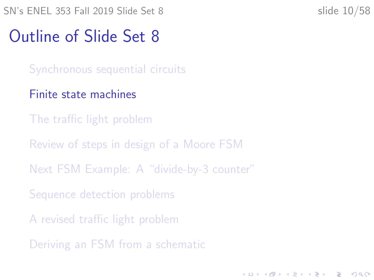<span id="page-9-0"></span>SN's ENEL 353 Fall 2019 Slide Set 8 slide 10/58

**KORKARYKERKER POLO** 

# Outline of Slide Set 8

[Synchronous sequential circuits](#page-2-0)

### [Finite state machines](#page-9-0)

- [The traffic light problem](#page-13-0)
- [Review of steps in design of a Moore FSM](#page-27-0)
- [Next FSM Example: A "divide-by-3 counter"](#page-31-0)
- [Sequence detection problems](#page-37-0)
- [A revised traffic light problem](#page-47-0)
- [Deriving an FSM from a schematic](#page-53-0)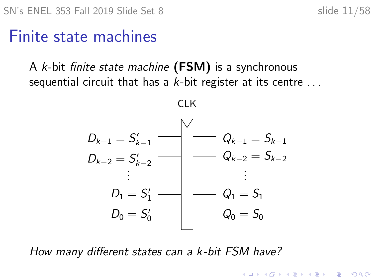## Finite state machines

A  $k$ -bit finite state machine (FSM) is a synchronous sequential circuit that has a  $k$ -bit register at its centre  $\dots$ 



How many different states can a k -bit FSM have?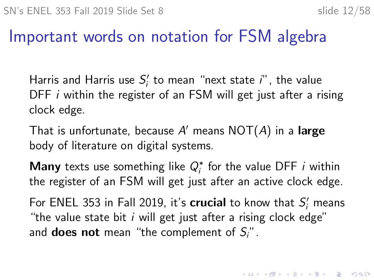## Important words on notation for FSM algebra

Harris and Harris use  $S_i'$  to mean "next state  $i$ ", the value DFF *i* within the register of an FSM will get just after a rising clock edge.

That is unfortunate, because  $A'$  means  $\mathsf{NOT}(A)$  in a large body of literature on digital systems.

**Many** texts use something like  $Q_i^*$  for the value DFF *i* within the register of an FSM will get just after an active clock edge.

For ENEL 353 in Fall 2019, it's  $\boldsymbol{c}$  rucial to know that  $S_i'$  means "the value state bit  $i$  will get just after a rising clock edge" and **does not** mean "the complement of  $S_i$ ".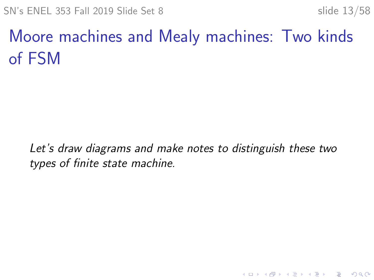K ロ ▶ K 個 ▶ K 할 ▶ K 할 ▶ 이 할 → 9 Q Q →

# Moore machines and Mealy machines: Two kinds of FSM

Let's draw diagrams and make notes to distinguish these two types of finite state machine.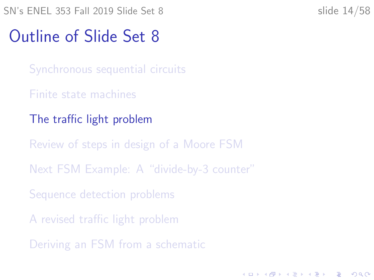# <span id="page-13-0"></span>Outline of Slide Set 8

[Synchronous sequential circuits](#page-2-0)

- [Finite state machines](#page-9-0)
- [The traffic light problem](#page-13-0)

[Review of steps in design of a Moore FSM](#page-27-0)

[Next FSM Example: A "divide-by-3 counter"](#page-31-0)

[Sequence detection problems](#page-37-0)

[A revised traffic light problem](#page-47-0)

[Deriving an FSM from a schematic](#page-53-0)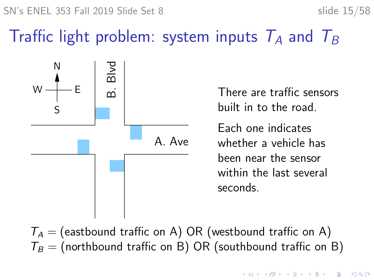SN's ENEL 353 Fall 2019 Slide Set 8 slide 15/58

# Traffic light problem: system inputs  $T_A$  and  $T_B$



There are traffic sensors built in to the road.

Each one indicates whether a vehicle has been near the sensor within the last several seconds.

 $T_A$  = (eastbound traffic on A) OR (westbound traffic on A)  $T_B$  = (northbound traffic on B) OR (southbound traffic on B)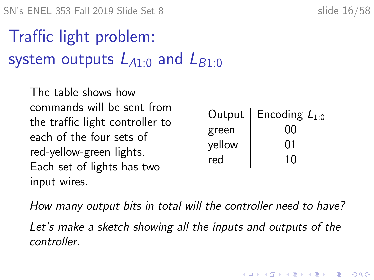$SN's ENEL 353 Fall 2019 Slide Set 8$  slide 16/58

Traffic light problem: system outputs  $L_{A1:0}$  and  $L_{B1:0}$ 

The table shows how commands will be sent from the traffic light controller to each of the four sets of red-yellow-green lights. Each set of lights has two input wires.

| Output | Encoding $L_{1:0}$ |
|--------|--------------------|
| green  | იი                 |
| yellow | 01                 |
| red    | 10                 |

**KORKARYKERKER POLO** 

How many output bits in total will the controller need to have? Let's make a sketch showing all the inputs and outputs of the controller.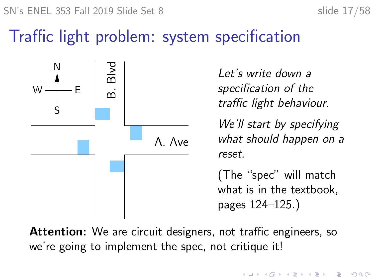$SN's ENEL 353 Fall 2019 Slide Set 8$  slide 17/58

# Traffic light problem: system specification



Let's write down a specification of the traffic light behaviour.

We'll start by specifying what should happen on a reset.

(The "spec" will match what is in the textbook, pages 124–125.)

Attention: We are circuit designers, not traffic engineers, so we're going to implement the spec, not critique it!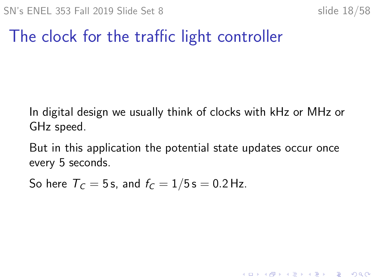K ロ ▶ K 個 ▶ K 할 ▶ K 할 ▶ 이 할 → 9 Q Q →

# The clock for the traffic light controller

In digital design we usually think of clocks with kHz or MHz or GHz speed.

But in this application the potential state updates occur once every 5 seconds.

So here  $T_c = 5$  s, and  $f_c = 1/5$  s = 0.2 Hz.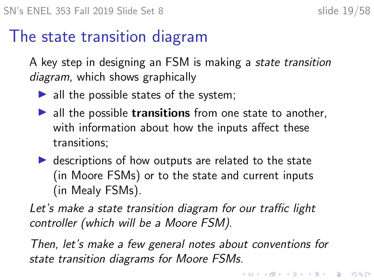## The state transition diagram

A key step in designing an FSM is making a state transition diagram, which shows graphically

- $\blacktriangleright$  all the possible states of the system;
- $\blacktriangleright$  all the possible **transitions** from one state to another, with information about how the inputs affect these transitions;
- $\triangleright$  descriptions of how outputs are related to the state (in Moore FSMs) or to the state and current inputs (in Mealy FSMs).

Let's make a state transition diagram for our traffic light controller (which will be a Moore FSM).

Then, let's make a few general notes about conventions for state transition diagrams for Moore FSMs.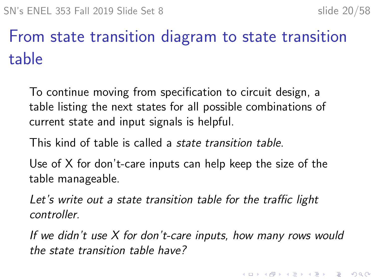# From state transition diagram to state transition table

To continue moving from specification to circuit design, a table listing the next states for all possible combinations of current state and input signals is helpful.

This kind of table is called a state transition table.

Use of X for don't-care inputs can help keep the size of the table manageable.

Let's write out a state transition table for the traffic light controller.

If we didn't use X for don't-care inputs, how many rows would the state transition table have?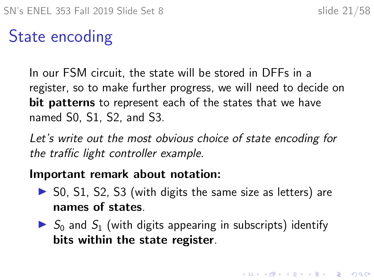4 0 > 4 4 + 4 = + 4 = + = + + 0 4 0 +

# State encoding

In our FSM circuit, the state will be stored in DFFs in a register, so to make further progress, we will need to decide on bit patterns to represent each of the states that we have named S0, S1, S2, and S3.

Let's write out the most obvious choice of state encoding for the traffic light controller example.

### Important remark about notation:

- $\triangleright$  S0, S1, S2, S3 (with digits the same size as letters) are names of states.
- $\triangleright$   $S_0$  and  $S_1$  (with digits appearing in subscripts) identify bits within the state register.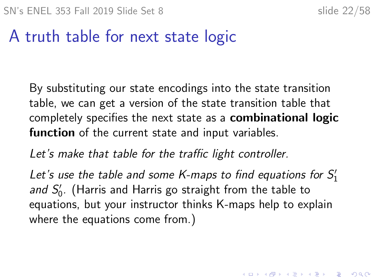KID KA KERKER KID KO

# A truth table for next state logic

By substituting our state encodings into the state transition table, we can get a version of the state transition table that completely specifies the next state as a combinational logic function of the current state and input variables.

Let's make that table for the traffic light controller.

Let's use the table and some K-maps to find equations for  $S_1'$ and  $S_0'$ . (Harris and Harris go straight from the table to equations, but your instructor thinks K-maps help to explain where the equations come from.)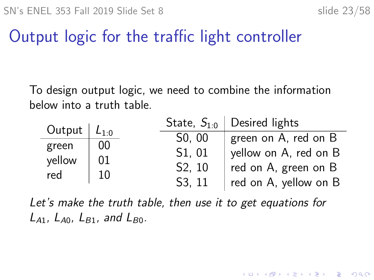# Output logic for the traffic light controller

To design output logic, we need to combine the information below into a truth table.

| Output $L_{1:0}$       |                | State, $S_{10}$     | Desired lights        |
|------------------------|----------------|---------------------|-----------------------|
|                        |                | $S0$ , 00           | green on A, red on B  |
| green<br>yellow<br>red | 00<br>01<br>10 | S1, 01              | yellow on A, red on B |
|                        |                | S <sub>2</sub> , 10 | red on A, green on B  |
|                        |                | S <sub>3</sub> . 11 | red on A, yellow on B |

Let's make the truth table, then use it to get equations for  $L_{A1}$ ,  $L_{A0}$ ,  $L_{B1}$ , and  $L_{B0}$ .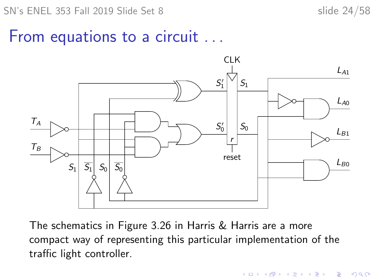**KORK ERKER ADAM ADA** 

## From equations to a circuit ...



The schematics in Figure 3.26 in Harris & Harris are a more compact way of representing this particular implementation of the traffic light controller.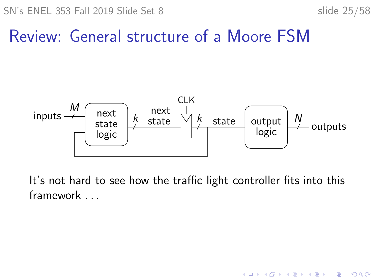$\mathbf{E} = \mathbf{A} \oplus \mathbf{B} + \mathbf{A} \oplus \mathbf{B} + \mathbf{A} \oplus \mathbf{B} + \mathbf{A} \oplus \mathbf{A}$ 

 $299$ 

# Review: General structure of a Moore FSM



It's not hard to see how the traffic light controller fits into this framework . . .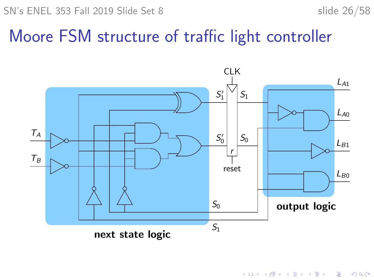SN's ENEL 353 Fall 2019 Slide Set 8 slide 26/58

## Moore FSM structure of traffic light controller



K ロ ▶ K 個 ▶ K 결 ▶ K 결 ▶ │ 결 │ K 9 Q Q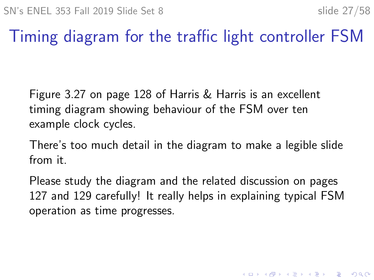# Timing diagram for the traffic light controller FSM

Figure 3.27 on page 128 of Harris & Harris is an excellent timing diagram showing behaviour of the FSM over ten example clock cycles.

There's too much detail in the diagram to make a legible slide from it.

Please study the diagram and the related discussion on pages 127 and 129 carefully! It really helps in explaining typical FSM operation as time progresses.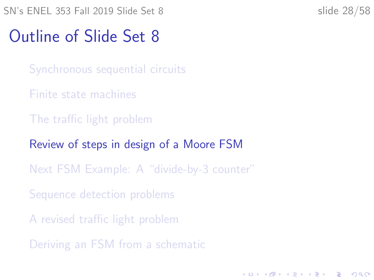<span id="page-27-0"></span>SN's ENEL 353 Fall 2019 Slide Set 8 slide 28/58

**KORKARYKERKER POLO** 

# Outline of Slide Set 8

[Synchronous sequential circuits](#page-2-0)

- [Finite state machines](#page-9-0)
- [The traffic light problem](#page-13-0)
- [Review of steps in design of a Moore FSM](#page-27-0)
- [Next FSM Example: A "divide-by-3 counter"](#page-31-0)
- [Sequence detection problems](#page-37-0)
- [A revised traffic light problem](#page-47-0)
- [Deriving an FSM from a schematic](#page-53-0)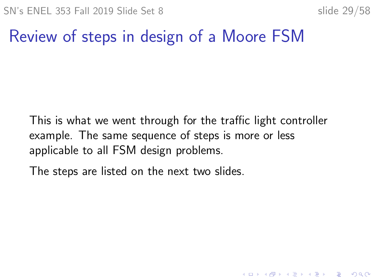K ロ ▶ K 個 ▶ K 할 ▶ K 할 ▶ 이 할 → 9 Q Q →

# Review of steps in design of a Moore FSM

This is what we went through for the traffic light controller example. The same sequence of steps is more or less applicable to all FSM design problems.

The steps are listed on the next two slides.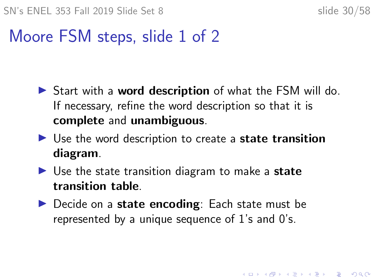# Moore FSM steps, slide 1 of 2

- $\triangleright$  Start with a **word description** of what the FSM will do. If necessary, refine the word description so that it is complete and unambiguous.
- $\triangleright$  Use the word description to create a state transition diagram.
- $\triangleright$  Use the state transition diagram to make a state transition table.
- $\blacktriangleright$  Decide on a state encoding: Each state must be represented by a unique sequence of 1's and 0's.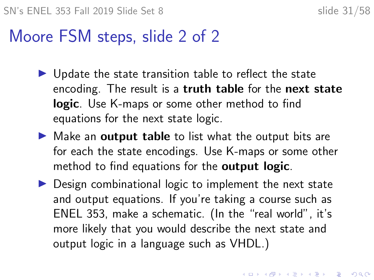## Moore FSM steps, slide 2 of 2

- $\blacktriangleright$  Update the state transition table to reflect the state encoding. The result is a truth table for the next state logic. Use K-maps or some other method to find equations for the next state logic.
- $\triangleright$  Make an **output table** to list what the output bits are for each the state encodings. Use K-maps or some other method to find equations for the **output logic**.
- $\triangleright$  Design combinational logic to implement the next state and output equations. If you're taking a course such as ENEL 353, make a schematic. (In the "real world", it's more likely that you would describe the next state and output logic in a language such as VHDL.)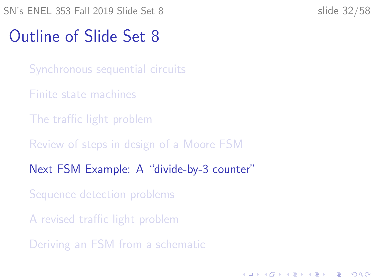# <span id="page-31-0"></span>Outline of Slide Set 8

[Synchronous sequential circuits](#page-2-0)

- [Finite state machines](#page-9-0)
- [The traffic light problem](#page-13-0)
- [Review of steps in design of a Moore FSM](#page-27-0)
- [Next FSM Example: A "divide-by-3 counter"](#page-31-0)
- [Sequence detection problems](#page-37-0)
- [A revised traffic light problem](#page-47-0)
- [Deriving an FSM from a schematic](#page-53-0)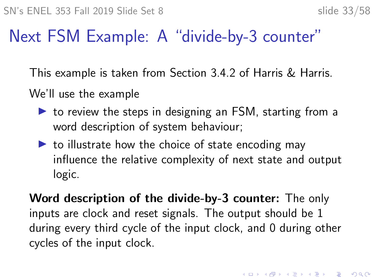# Next FSM Example: A "divide-by-3 counter"

This example is taken from Section 3.4.2 of Harris & Harris.

We'll use the example

- $\triangleright$  to review the steps in designing an FSM, starting from a word description of system behaviour;
- $\triangleright$  to illustrate how the choice of state encoding may influence the relative complexity of next state and output logic.

Word description of the divide-by-3 counter: The only inputs are clock and reset signals. The output should be 1 during every third cycle of the input clock, and 0 during other cycles of the input clock.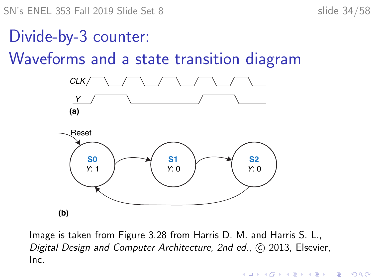SN's ENEL 353 Fall 2019 Slide Set 8 slide 34/58

**KORK ERKER ADAM ADA** 

Divide-by-3 counter:

Waveforms and a state transition diagram



Image is taken from Figure 3.28 from Harris D. M. and Harris S. L., Digital Design and Computer Architecture, 2nd ed., C 2013, Elsevier, Inc.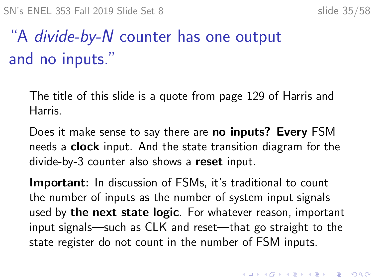# "A divide-by-N counter has one output and no inputs."

The title of this slide is a quote from page 129 of Harris and Harris.

Does it make sense to say there are no inputs? Every FSM needs a **clock** input. And the state transition diagram for the divide-by-3 counter also shows a reset input.

**Important:** In discussion of FSMs, it's traditional to count the number of inputs as the number of system input signals used by the next state logic. For whatever reason, important input signals—such as CLK and reset—that go straight to the state register do not count in the number of FSM inputs.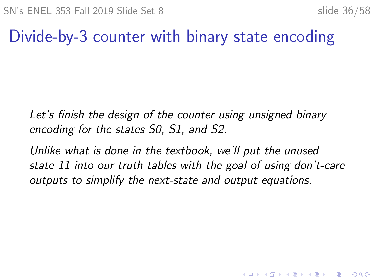# Divide-by-3 counter with binary state encoding

Let's finish the design of the counter using unsigned binary encoding for the states S0, S1, and S2.

Unlike what is done in the textbook, we'll put the unused state 11 into our truth tables with the goal of using don't-care outputs to simplify the next-state and output equations.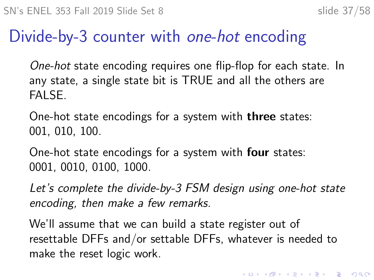# Divide-by-3 counter with one-hot encoding

One-hot state encoding requires one flip-flop for each state. In any state, a single state bit is TRUE and all the others are FALSE.

One-hot state encodings for a system with three states: 001, 010, 100.

One-hot state encodings for a system with four states: 0001, 0010, 0100, 1000.

Let's complete the divide-by-3 FSM design using one-hot state encoding, then make a few remarks.

We'll assume that we can build a state register out of resettable DFFs and/or settable DFFs, whatever is needed to make the reset logic work.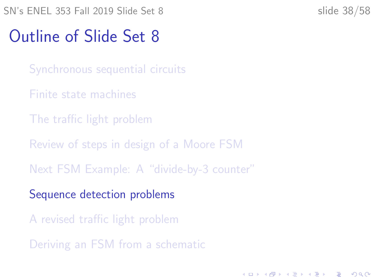# <span id="page-37-0"></span>Outline of Slide Set 8

[Synchronous sequential circuits](#page-2-0)

- [Finite state machines](#page-9-0)
- [The traffic light problem](#page-13-0)
- [Review of steps in design of a Moore FSM](#page-27-0)
- [Next FSM Example: A "divide-by-3 counter"](#page-31-0)
- [Sequence detection problems](#page-37-0)
- [A revised traffic light problem](#page-47-0)
- [Deriving an FSM from a schematic](#page-53-0)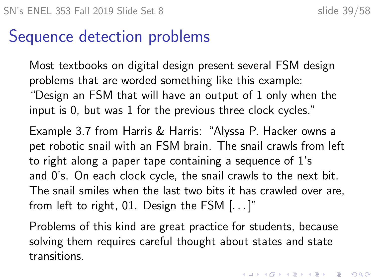# Sequence detection problems

Most textbooks on digital design present several FSM design problems that are worded something like this example: "Design an FSM that will have an output of 1 only when the input is 0, but was 1 for the previous three clock cycles."

Example 3.7 from Harris & Harris: "Alyssa P. Hacker owns a pet robotic snail with an FSM brain. The snail crawls from left to right along a paper tape containing a sequence of 1's and 0's. On each clock cycle, the snail crawls to the next bit. The snail smiles when the last two bits it has crawled over are, from left to right, 01. Design the FSM [. . . ]"

Problems of this kind are great practice for students, because solving them requires careful thought about states and state transitions.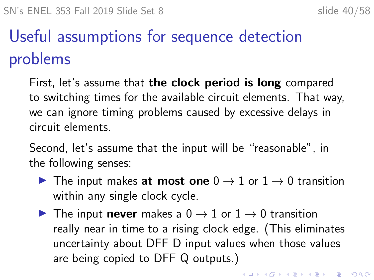# Useful assumptions for sequence detection problems

First, let's assume that **the clock period is long** compared to switching times for the available circuit elements. That way, we can ignore timing problems caused by excessive delays in circuit elements.

Second, let's assume that the input will be "reasonable", in the following senses:

- ▶ The input makes at most one  $0 \rightarrow 1$  or  $1 \rightarrow 0$  transition within any single clock cycle.
- $\triangleright$  The input **never** makes a  $0 \rightarrow 1$  or  $1 \rightarrow 0$  transition really near in time to a rising clock edge. (This eliminates uncertainty about DFF D input values when those values are being copied to DFF Q outputs.)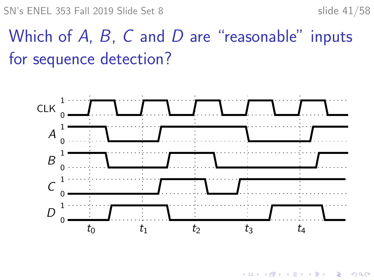SN's ENEL 353 Fall 2019 Slide Set 8 slide 41/58

# Which of  $A$ ,  $B$ ,  $C$  and  $D$  are "reasonable" inputs for sequence detection?



**K ロ ▶ K 何 ▶ K ヨ ▶ K ヨ ▶** B  $2Q$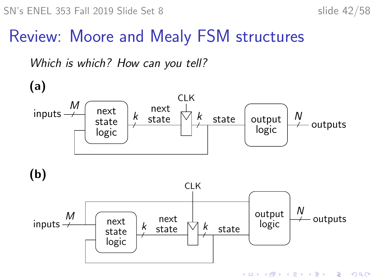# Review: Moore and Mealy FSM structures

Which is which? How can you tell?

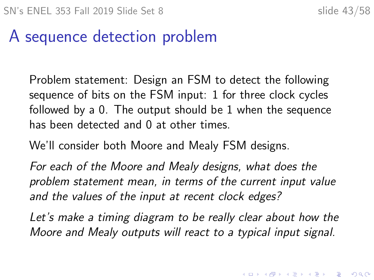# A sequence detection problem

Problem statement: Design an FSM to detect the following sequence of bits on the FSM input: 1 for three clock cycles followed by a 0. The output should be 1 when the sequence has been detected and 0 at other times.

We'll consider both Moore and Mealy FSM designs.

For each of the Moore and Mealy designs, what does the problem statement mean, in terms of the current input value and the values of the input at recent clock edges?

Let's make a timing diagram to be really clear about how the Moore and Mealy outputs will react to a typical input signal.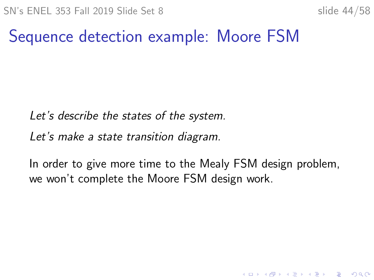# Sequence detection example: Moore FSM

Let's describe the states of the system.

Let's make a state transition diagram.

In order to give more time to the Mealy FSM design problem, we won't complete the Moore FSM design work.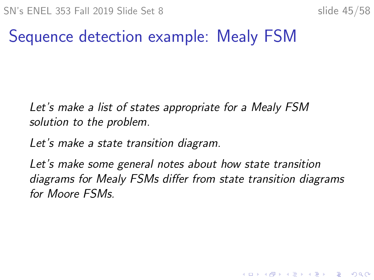# Sequence detection example: Mealy FSM

Let's make a list of states appropriate for a Mealy FSM solution to the problem.

Let's make a state transition diagram.

Let's make some general notes about how state transition diagrams for Mealy FSMs differ from state transition diagrams for Moore FSMs.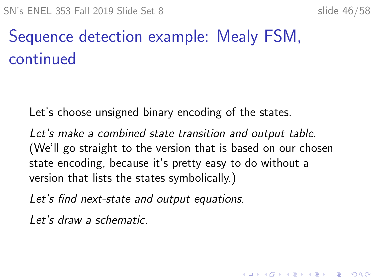# Sequence detection example: Mealy FSM, continued

Let's choose unsigned binary encoding of the states.

Let's make a combined state transition and output table. (We'll go straight to the version that is based on our chosen state encoding, because it's pretty easy to do without a version that lists the states symbolically.)

Let's find next-state and output equations.

Let's draw a schematic.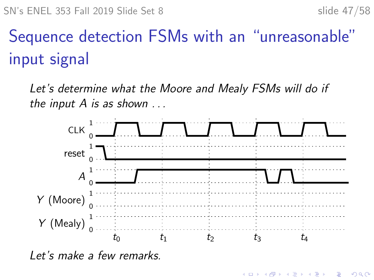$\left\{ \begin{array}{ccc} 1 & 0 & 0 \\ 0 & 1 & 0 \\ 0 & 0 & 0 \\ 0 & 0 & 0 \\ 0 & 0 & 0 \\ 0 & 0 & 0 \\ 0 & 0 & 0 \\ 0 & 0 & 0 \\ 0 & 0 & 0 \\ 0 & 0 & 0 \\ 0 & 0 & 0 \\ 0 & 0 & 0 \\ 0 & 0 & 0 \\ 0 & 0 & 0 \\ 0 & 0 & 0 & 0 \\ 0 & 0 & 0 & 0 \\ 0 & 0 & 0 & 0 \\ 0 & 0 & 0 & 0 & 0 \\ 0 & 0 & 0 & 0 & 0 \\ 0 & 0 & 0 & 0 & 0 \\ 0$ 

 $\mathbb{B}$ 

 $2990$ 

# Sequence detection FSMs with an "unreasonable" input signal

Let's determine what the Moore and Mealy FSMs will do if the input  $A$  is as shown  $\dots$ 



Let's make a few remarks.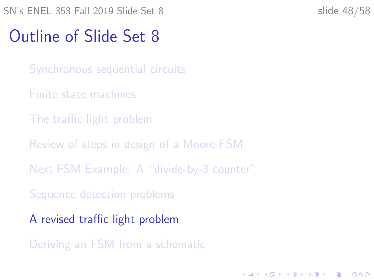# <span id="page-47-0"></span>Outline of Slide Set 8

[Synchronous sequential circuits](#page-2-0)

- [Finite state machines](#page-9-0)
- [The traffic light problem](#page-13-0)
- [Review of steps in design of a Moore FSM](#page-27-0)
- [Next FSM Example: A "divide-by-3 counter"](#page-31-0)
- [Sequence detection problems](#page-37-0)
- [A revised traffic light problem](#page-47-0)
- [Deriving an FSM from a schematic](#page-53-0)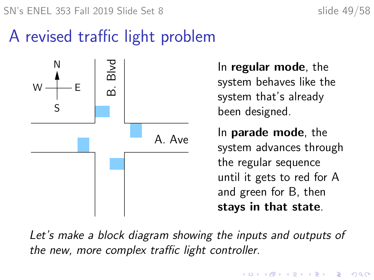# A revised traffic light problem



In regular mode, the system behaves like the system that's already been designed.

In parade mode, the system advances through the regular sequence until it gets to red for A and green for B, then stays in that state.

Let's make a block diagram showing the inputs and outputs of the new, more complex traffic light controller.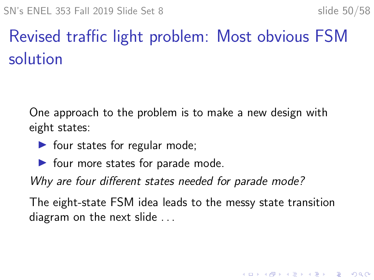# Revised traffic light problem: Most obvious FSM solution

One approach to the problem is to make a new design with eight states:

- $\blacktriangleright$  four states for regular mode;
- $\blacktriangleright$  four more states for parade mode.

Why are four different states needed for parade mode?

The eight-state FSM idea leads to the messy state transition diagram on the next slide . . .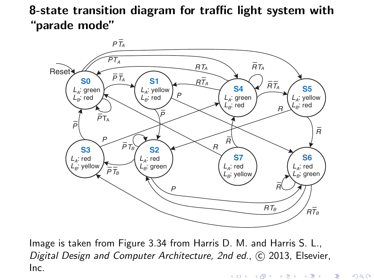8-state transition diagram for traffic light system with "parade mode"



Image is taken from Figure 3.34 from Harris D. M. and Harris S. L., Digital Design and Computer Architecture, 2nd ed., © 2013, Elsevier, Inc.K ロ ▶ (K @ ) (K @ ) (K @ ) ( 一番

 $299$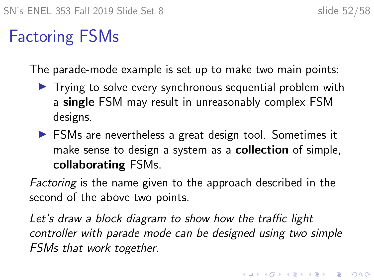# Factoring FSMs

The parade-mode example is set up to make two main points:

- $\blacktriangleright$  Trying to solve every synchronous sequential problem with a single FSM may result in unreasonably complex FSM designs.
- $\triangleright$  FSMs are nevertheless a great design tool. Sometimes it make sense to design a system as a **collection** of simple, collaborating FSMs.

Factoring is the name given to the approach described in the second of the above two points.

Let's draw a block diagram to show how the traffic light controller with parade mode can be designed using two simple FSMs that work together.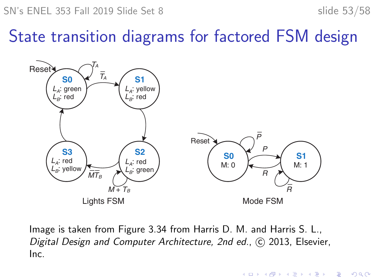$\mathbf{E} = \mathbf{A} \oplus \mathbf{B} + \mathbf{A} \oplus \mathbf{B} + \mathbf{A} \oplus \mathbf{B} + \mathbf{A} \oplus \mathbf{A}$ 

 $2990$ 

# State transition diagrams for factored FSM design **(a)**



Image is taken from Figure 3.34 from Harris D. M. and Harris S. L., Digital Design and Computer Architecture, 2nd ed., C 2013, Elsevier, Inc.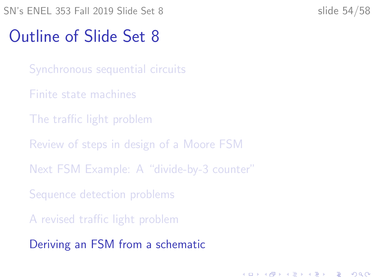# <span id="page-53-0"></span>Outline of Slide Set 8

- [Synchronous sequential circuits](#page-2-0)
- [Finite state machines](#page-9-0)
- [The traffic light problem](#page-13-0)
- [Review of steps in design of a Moore FSM](#page-27-0)
- [Next FSM Example: A "divide-by-3 counter"](#page-31-0)
- [Sequence detection problems](#page-37-0)
- [A revised traffic light problem](#page-47-0)
- [Deriving an FSM from a schematic](#page-53-0)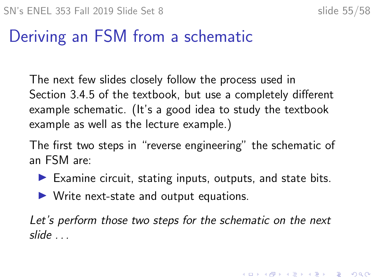KID KA KERKER KID KO

# Deriving an FSM from a schematic

The next few slides closely follow the process used in Section 3.4.5 of the textbook, but use a completely different example schematic. (It's a good idea to study the textbook example as well as the lecture example.)

The first two steps in "reverse engineering" the schematic of an FSM are:

- $\blacktriangleright$  Examine circuit, stating inputs, outputs, and state bits.
- $\triangleright$  Write next-state and output equations.

Let's perform those two steps for the schematic on the next slide . . .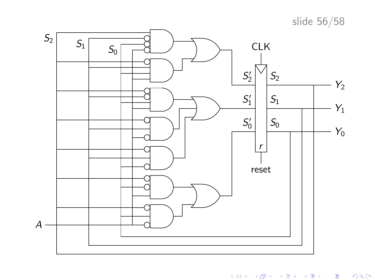slide 56/58



メロト メタト メミト メミト 一毛  $299$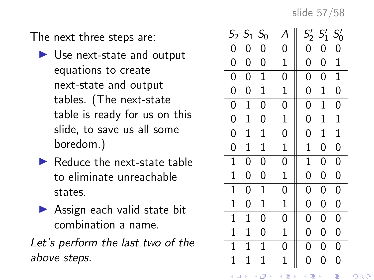slide 57/58

The next three steps are:

- $\blacktriangleright$  Use next-state and output equations to create next-state and output tables. (The next-state table is ready for us on this slide, to save us all some boredom.)
- $\blacktriangleright$  Reduce the next-state table to eliminate unreachable states.
- $\blacktriangleright$  Assign each valid state bit combination a name.

Let's perform the last two of the above steps.

| S <sub>2</sub> | $S_1$        | S <sub>0</sub> | А              | $\mathcal{S}'_2$ | $S'_1$      | $S_0'$         |
|----------------|--------------|----------------|----------------|------------------|-------------|----------------|
| 0              | 0            | 0              | 0              | 0                | 0           | 0              |
| 0              | 0            | 0              | $\mathbf 1$    | 0                | 0           | $\mathbf 1$    |
| $\overline{0}$ | 0            | $\mathbf 1$    | 0              | 0                | 0           | $\mathbf 1$    |
| $\mathbf{0}$   | 0            | $\mathbf 1$    | $\mathbf 1$    | 0                | $\mathbf 1$ | 0              |
| $\mathbf{0}$   | $\mathbf{1}$ | 0              | 0              | 0                | $\mathbf 1$ | 0              |
| 0              | $\mathbf 1$  | 0              | $\mathbf{1}$   | 0                | $\mathbf 1$ | $\mathbf 1$    |
| $\overline{0}$ | 1            | $\mathbf 1$    | $\overline{0}$ | 0                | 1           | $\mathbf 1$    |
| $\overline{0}$ | $\mathbf 1$  | $\mathbf 1$    | $\mathbf 1$    | $\mathbf 1$      | 0           | 0              |
| $\overline{1}$ | 0            | 0              | $\overline{0}$ | $\mathbf{1}$     | 0           | $\overline{0}$ |
| $\mathbf 1$    | 0            | 0              | $\mathbf 1$    | 0                | 0           | 0              |
| $\mathbf{1}$   | 0            | $\mathbf{1}$   | 0              | 0                | 0           | 0              |
| $\mathbf 1$    | 0            | $\mathbf 1$    | $\mathbf 1$    | 0                | 0           | 0              |
| $\mathbf 1$    | 1            | 0              | 0              | 0                | 0           | 0              |
| $\mathbf 1$    | 1            | 0              | $\mathbf 1$    | 0                | 0           | 0              |
| $\mathbf 1$    | 1            | $\mathbf 1$    | 0              | 0                | 0           | $\overline{0}$ |
| $\mathbf 1$    | $\mathbf 1$  | $\mathbf 1$    | $\mathbf{1}$   | $\overline{0}$   | 0           | $\overline{0}$ |
| ⊆ ∢            |              | ð<br>þ<br>∢    | ŧ<br>þ<br>¢    | ŧ<br>4           | þ           | ŧ              |

 $2Q$